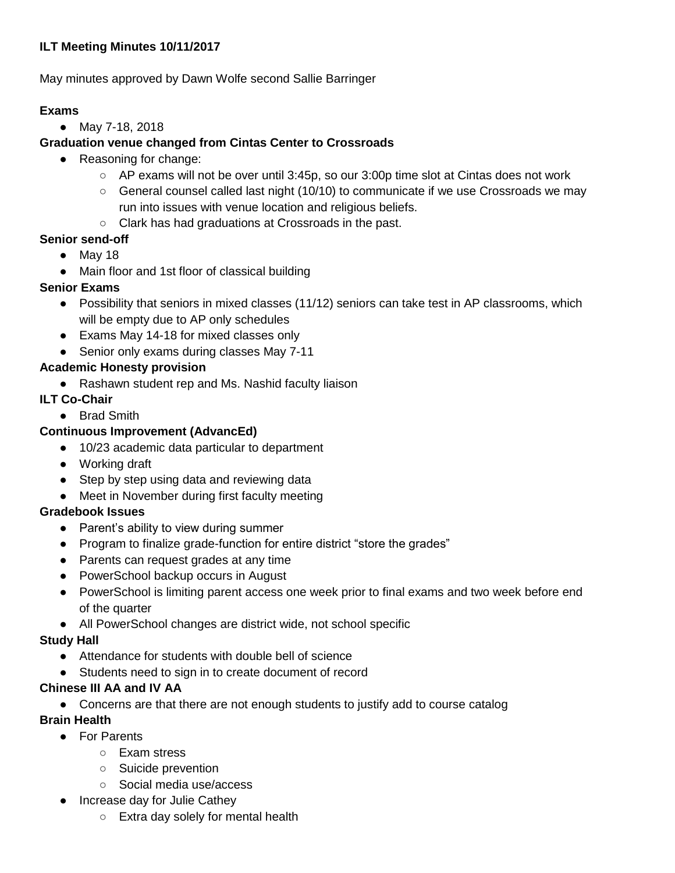# **ILT Meeting Minutes 10/11/2017**

May minutes approved by Dawn Wolfe second Sallie Barringer

# **Exams**

● May 7-18, 2018

# **Graduation venue changed from Cintas Center to Crossroads**

- Reasoning for change:
	- $\circ$  AP exams will not be over until 3:45p, so our 3:00p time slot at Cintas does not work
	- $\circ$  General counsel called last night (10/10) to communicate if we use Crossroads we may run into issues with venue location and religious beliefs.
	- Clark has had graduations at Crossroads in the past.

# **Senior send-off**

- May 18
- Main floor and 1st floor of classical building

# **Senior Exams**

- Possibility that seniors in mixed classes (11/12) seniors can take test in AP classrooms, which will be empty due to AP only schedules
- Exams May 14-18 for mixed classes only
- Senior only exams during classes May 7-11

# **Academic Honesty provision**

● Rashawn student rep and Ms. Nashid faculty liaison

#### **ILT Co-Chair**

● Brad Smith

#### **Continuous Improvement (AdvancEd)**

- 10/23 academic data particular to department
- Working draft
- Step by step using data and reviewing data
- Meet in November during first faculty meeting

# **Gradebook Issues**

- Parent's ability to view during summer
- Program to finalize grade-function for entire district "store the grades"
- Parents can request grades at any time
- PowerSchool backup occurs in August
- PowerSchool is limiting parent access one week prior to final exams and two week before end of the quarter
- All PowerSchool changes are district wide, not school specific

# **Study Hall**

- Attendance for students with double bell of science
- Students need to sign in to create document of record

# **Chinese III AA and IV AA**

● Concerns are that there are not enough students to justify add to course catalog

# **Brain Health**

- For Parents
	- Exam stress
	- Suicide prevention
	- Social media use/access
- Increase day for Julie Cathey
	- Extra day solely for mental health